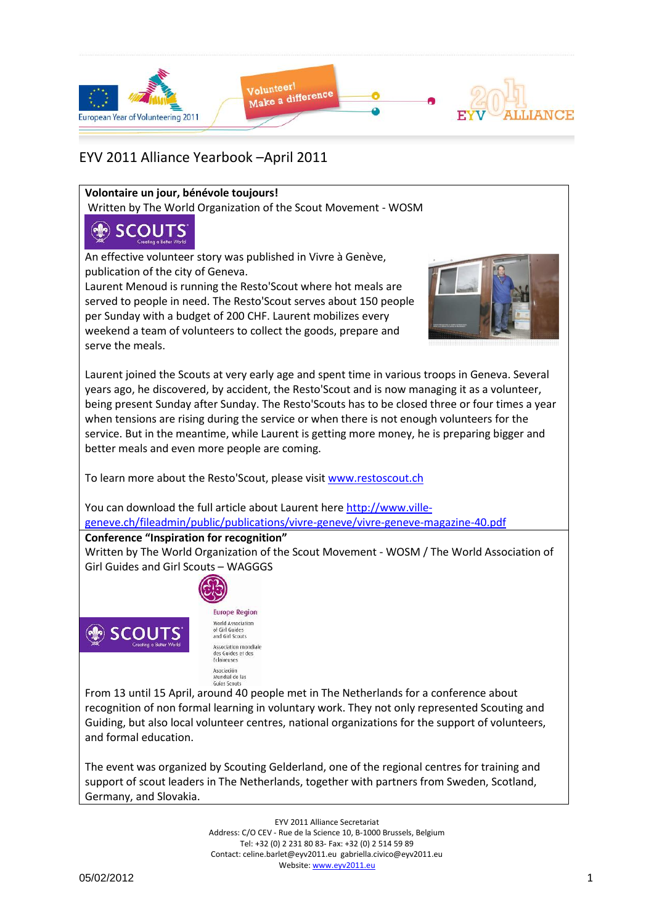

### **Volontaire un jour, bénévole toujours!**

Written by The World Organization of the Scout Movement - WOSM

# **SCOUTS**

An effective volunteer story was published in Vivre à Genève, publication of the city of Geneva.

Laurent Menoud is running the Resto'Scout where hot meals are served to people in need. The Resto'Scout serves about 150 people per Sunday with a budget of 200 CHF. Laurent mobilizes every weekend a team of volunteers to collect the goods, prepare and serve the meals.



Laurent joined the Scouts at very early age and spent time in various troops in Geneva. Several years ago, he discovered, by accident, the Resto'Scout and is now managing it as a volunteer, being present Sunday after Sunday. The Resto'Scouts has to be closed three or four times a year when tensions are rising during the service or when there is not enough volunteers for the service. But in the meantime, while Laurent is getting more money, he is preparing bigger and better meals and even more people are coming.

To learn more about the Resto'Scout, please visi[t www.restoscout.ch](http://www.restoscout.ch/)

You can download the full article about Laurent her[e http://www.ville](http://www.ville-geneve.ch/fileadmin/public/publications/vivre-geneve/vivre-geneve-magazine-40.pdf)[geneve.ch/fileadmin/public/publications/vivre-geneve/vivre-geneve-magazine-40.pdf](http://www.ville-geneve.ch/fileadmin/public/publications/vivre-geneve/vivre-geneve-magazine-40.pdf)

## **Conference "Inspiration for recognition"**

Written by The World Organization of the Scout Movement - WOSM / The World Association of Girl Guides and Girl Scouts – WAGGGS



**Europe Region** World Association of Girl Guides and Girl Scouts Association mondiale<br>des Guides et des<br>Eclaireuses Asociación Mundial de las<br>Guías Scouts

From 13 until 15 April, around 40 people met in The Netherlands for a conference about recognition of non formal learning in voluntary work. They not only represented Scouting and Guiding, but also local volunteer centres, national organizations for the support of volunteers, and formal education.

The event was organized by Scouting Gelderland, one of the regional centres for training and support of scout leaders in The Netherlands, together with partners from Sweden, Scotland, Germany, and Slovakia.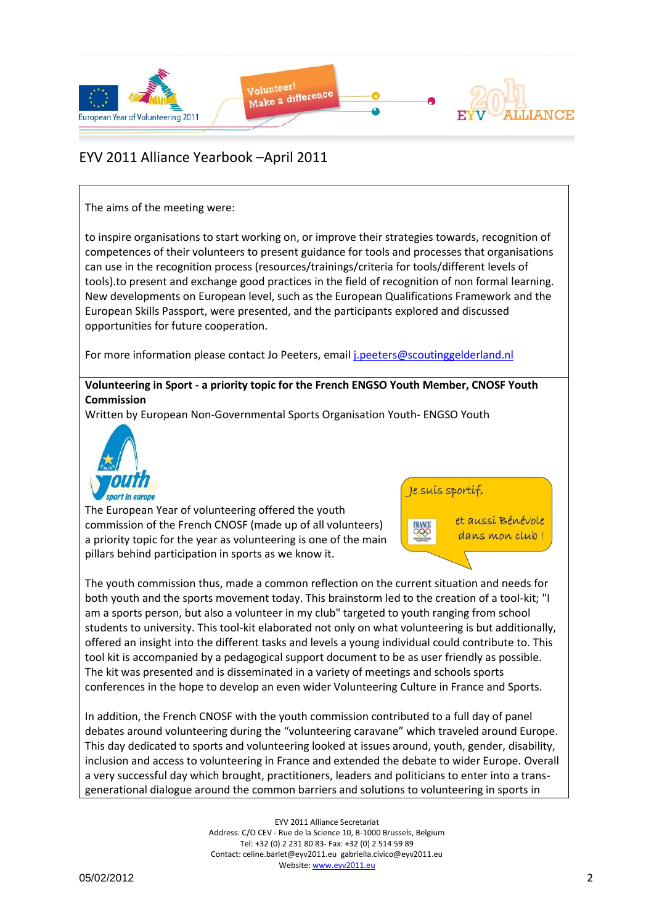

### The aims of the meeting were:

to inspire organisations to start working on, or improve their strategies towards, recognition of competences of their volunteers to present guidance for tools and processes that organisations can use in the recognition process (resources/trainings/criteria for tools/different levels of tools).to present and exchange good practices in the field of recognition of non formal learning. New developments on European level, such as the European Qualifications Framework and the European Skills Passport, were presented, and the participants explored and discussed opportunities for future cooperation.

For more information please contact Jo Peeters, email [j.peeters@scoutinggelderland.nl](mailto:j.peeters@scoutinggelderland.nl)

### **Volunteering in Sport - a priority topic for the French ENGSO Youth Member, CNOSF Youth Commission**

Written by European Non-Governmental Sports Organisation Youth- ENGSO Youth



The European Year of volunteering offered the youth commission of the French CNOSF (made up of all volunteers) a priority topic for the year as volunteering is one of the main pillars behind participation in sports as we know it.





The youth commission thus, made a common reflection on the current situation and needs for both youth and the sports movement today. This brainstorm led to the creation of a tool-kit; "I am a sports person, but also a volunteer in my club" targeted to youth ranging from school students to university. This tool-kit elaborated not only on what volunteering is but additionally, offered an insight into the different tasks and levels a young individual could contribute to. This tool kit is accompanied by a pedagogical support document to be as user friendly as possible. The kit was presented and is disseminated in a variety of meetings and schools sports conferences in the hope to develop an even wider Volunteering Culture in France and Sports.

In addition, the French CNOSF with the youth commission contributed to a full day of panel debates around volunteering during the "volunteering caravane" which traveled around Europe. This day dedicated to sports and volunteering looked at issues around, youth, gender, disability, inclusion and access to volunteering in France and extended the debate to wider Europe. Overall a very successful day which brought, practitioners, leaders and politicians to enter into a transgenerational dialogue around the common barriers and solutions to volunteering in sports in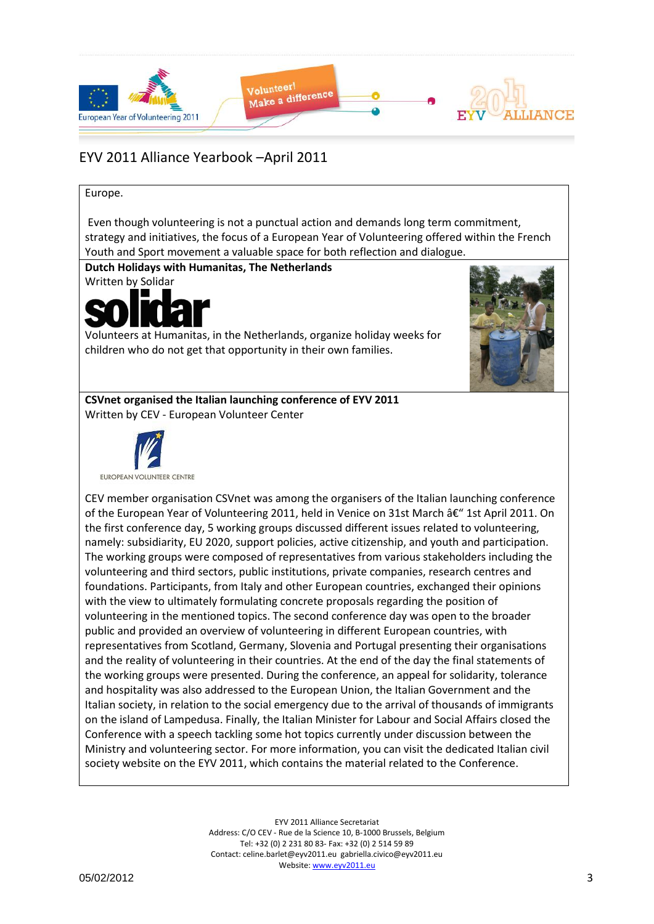

#### Europe.

Even though volunteering is not a punctual action and demands long term commitment, strategy and initiatives, the focus of a European Year of Volunteering offered within the French Youth and Sport movement a valuable space for both reflection and dialogue.

**Dutch Holidays with Humanitas, The Netherlands**

Written by Solidar



Volunteers at Humanitas, in the Netherlands, organize holiday weeks for children who do not get that opportunity in their own families.



**CSVnet organised the Italian launching conference of EYV 2011** Written by CEV - European Volunteer Center



CEV member organisation CSVnet was among the organisers of the Italian launching conference of the European Year of Volunteering 2011, held in Venice on 31st March â€" 1st April 2011. On the first conference day, 5 working groups discussed different issues related to volunteering, namely: subsidiarity, EU 2020, support policies, active citizenship, and youth and participation. The working groups were composed of representatives from various stakeholders including the volunteering and third sectors, public institutions, private companies, research centres and foundations. Participants, from Italy and other European countries, exchanged their opinions with the view to ultimately formulating concrete proposals regarding the position of volunteering in the mentioned topics. The second conference day was open to the broader public and provided an overview of volunteering in different European countries, with representatives from Scotland, Germany, Slovenia and Portugal presenting their organisations and the reality of volunteering in their countries. At the end of the day the final statements of the working groups were presented. During the conference, an appeal for solidarity, tolerance and hospitality was also addressed to the European Union, the Italian Government and the Italian society, in relation to the social emergency due to the arrival of thousands of immigrants on the island of Lampedusa. Finally, the Italian Minister for Labour and Social Affairs closed the Conference with a speech tackling some hot topics currently under discussion between the Ministry and volunteering sector. For more information, you can visit the dedicated Italian civil society website on the EYV 2011, which contains the material related to the Conference.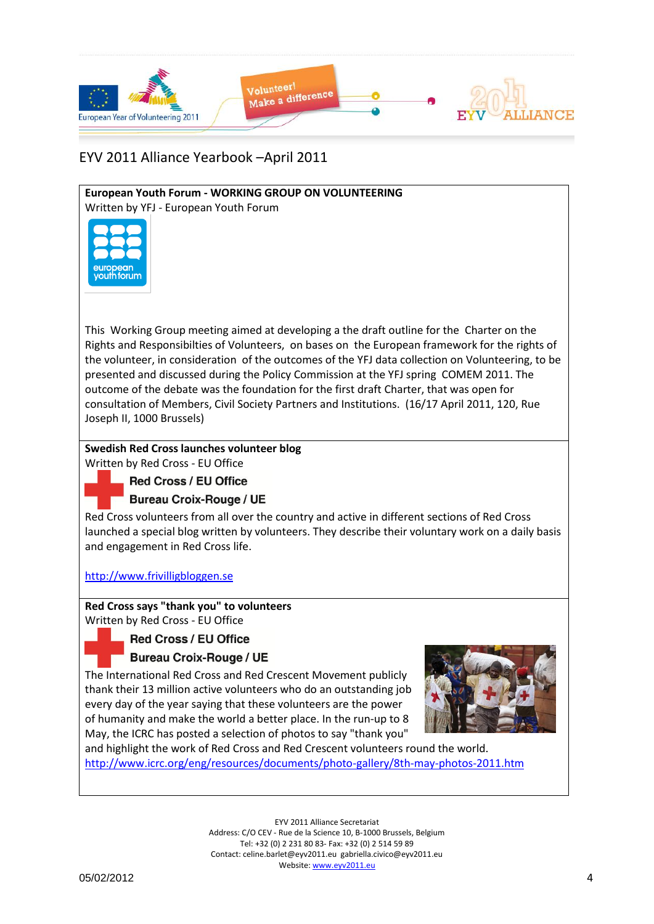

# **European Youth Forum - WORKING GROUP ON VOLUNTEERING**

Written by YFJ - European Youth Forum



This Working Group meeting aimed at developing a the draft outline for the Charter on the Rights and Responsibilties of Volunteers, on bases on the European framework for the rights of the volunteer, in consideration of the outcomes of the YFJ data collection on Volunteering, to be presented and discussed during the Policy Commission at the YFJ spring COMEM 2011. The outcome of the debate was the foundation for the first draft Charter, that was open for consultation of Members, Civil Society Partners and Institutions. (16/17 April 2011, 120, Rue Joseph II, 1000 Brussels)

## **Swedish Red Cross launches volunteer blog**

Written by Red Cross - EU Office

**Red Cross / EU Office** 

**Bureau Croix-Rouge / UE** 

Red Cross volunteers from all over the country and active in different sections of Red Cross launched a special blog written by volunteers. They describe their voluntary work on a daily basis and engagement in Red Cross life.

[http://www.frivilligbloggen.se](http://www.frivilligbloggen.se/)

# **Red Cross says "thank you" to volunteers**

Written by Red Cross - EU Office

## **Red Cross / EU Office**

## **Bureau Croix-Rouge / UE**

The International Red Cross and Red Crescent Movement publicly thank their 13 million active volunteers who do an outstanding job every day of the year saying that these volunteers are the power of humanity and make the world a better place. In the run-up to 8 May, the ICRC has posted a selection of photos to say "thank you"



and highlight the work of Red Cross and Red Crescent volunteers round the world. <http://www.icrc.org/eng/resources/documents/photo-gallery/8th-may-photos-2011.htm>